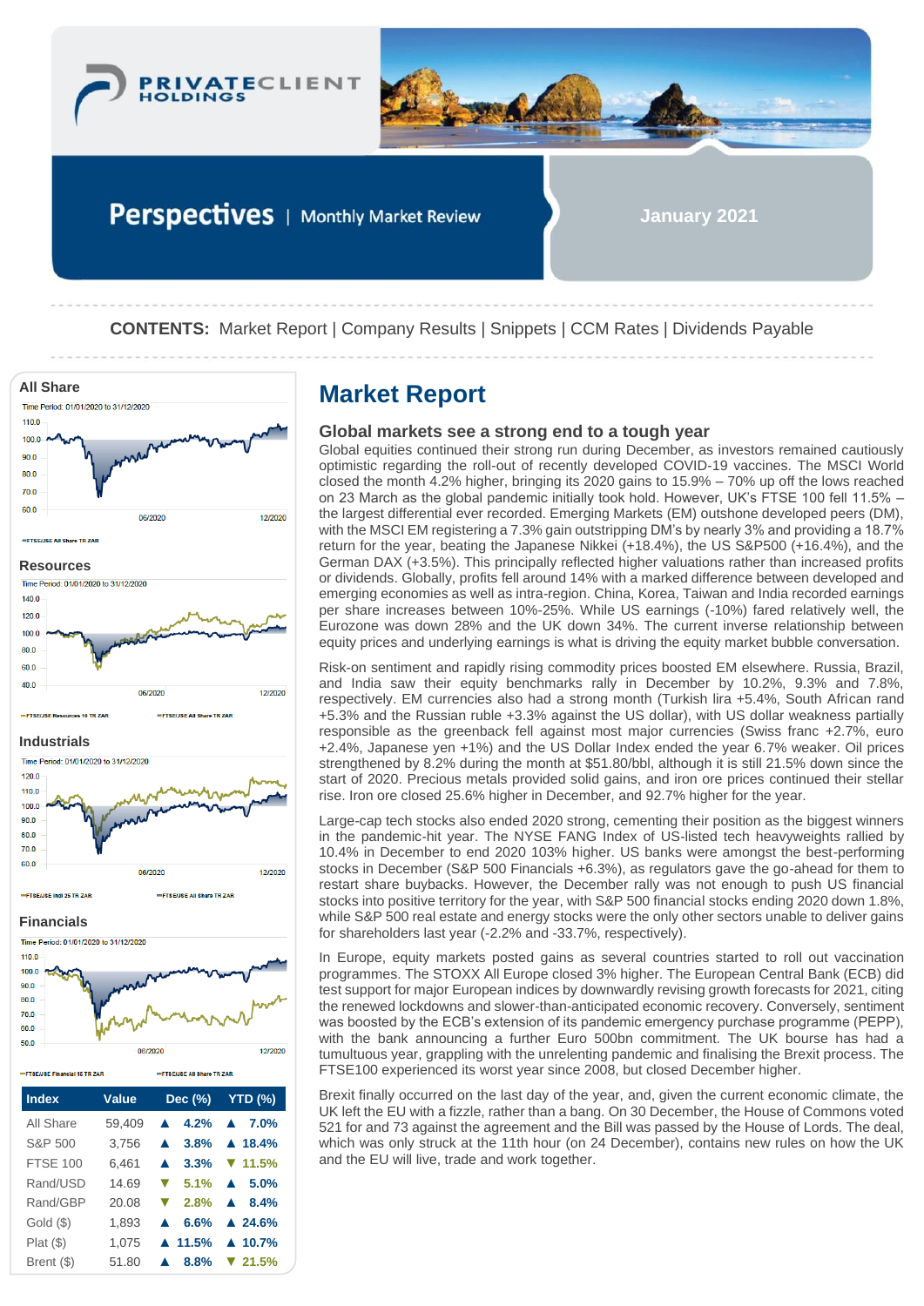



Perspectives | Monthly Market Review

**January 2021**

**CONTENTS:** Market Report | Company Results | Snippets | CCM Rates | Dividends Payable



| 80.0<br>70.0<br>60.0<br>50.0  |              | 06/2020                           | 12/2020                |
|-------------------------------|--------------|-----------------------------------|------------------------|
| -FTSE/JSE Financial 15 TR ZAR |              | <b>EFTSEIJSE All Share TR ZAR</b> |                        |
| <b>Index</b>                  | <b>Value</b> | Dec $(\%)$                        | <b>YTD (%)</b>         |
| All Share                     | 59,409       | 4.2%                              | $\blacktriangle$ 7.0%  |
| S&P 500                       | 3.756        |                                   | 3.8% $\triangle$ 18.4% |

FTSE 100 6,461 **▲ 3.3% ▼ 11.5%** Rand/USD 14.69 **▼ 5.1% ▲ 5.0%** Rand/GBP 20.08 **▼ 2.8% ▲ 8.4%** Gold (\$) 1,893 **▲ 6.6% ▲ 24.6%** Plat (\$) 1,075 **▲ 11.5% ▲ 10.7%** Brent (\$) 51.80 **▲ 8.8% ▼ 21.5%**

# **Global markets see a strong end to a tough year**

Global equities continued their strong run during December, as investors remained cautiously optimistic regarding the roll-out of recently developed COVID-19 vaccines. The MSCI World closed the month 4.2% higher, bringing its 2020 gains to 15.9% – 70% up off the lows reached on 23 March as the global pandemic initially took hold. However, UK's FTSE 100 fell 11.5% – the largest differential ever recorded. Emerging Markets (EM) outshone developed peers (DM), with the MSCI EM registering a 7.3% gain outstripping DM's by nearly 3% and providing a 18.7% return for the year, beating the Japanese Nikkei (+18.4%), the US S&P500 (+16.4%), and the German DAX (+3.5%). This principally reflected higher valuations rather than increased profits or dividends. Globally, profits fell around 14% with a marked difference between developed and emerging economies as well as intra-region. China, Korea, Taiwan and India recorded earnings per share increases between 10%-25%. While US earnings (-10%) fared relatively well, the Eurozone was down 28% and the UK down 34%. The current inverse relationship between equity prices and underlying earnings is what is driving the equity market bubble conversation.

Risk-on sentiment and rapidly rising commodity prices boosted EM elsewhere. Russia, Brazil, and India saw their equity benchmarks rally in December by 10.2%, 9.3% and 7.8%, respectively. EM currencies also had a strong month (Turkish lira +5.4%, South African rand +5.3% and the Russian ruble +3.3% against the US dollar), with US dollar weakness partially responsible as the greenback fell against most major currencies (Swiss franc +2.7%, euro +2.4%, Japanese yen +1%) and the US Dollar Index ended the year 6.7% weaker. Oil prices strengthened by 8.2% during the month at \$51.80/bbl, although it is still 21.5% down since the start of 2020. Precious metals provided solid gains, and iron ore prices continued their stellar rise. Iron ore closed 25.6% higher in December, and 92.7% higher for the year.

Large-cap tech stocks also ended 2020 strong, cementing their position as the biggest winners in the pandemic-hit year. The NYSE FANG Index of US-listed tech heavyweights rallied by 10.4% in December to end 2020 103% higher. US banks were amongst the best-performing stocks in December (S&P 500 Financials +6.3%), as regulators gave the go-ahead for them to restart share buybacks. However, the December rally was not enough to push US financial stocks into positive territory for the year, with S&P 500 financial stocks ending 2020 down 1.8%, while S&P 500 real estate and energy stocks were the only other sectors unable to deliver gains for shareholders last year (-2.2% and -33.7%, respectively).

In Europe, equity markets posted gains as several countries started to roll out vaccination programmes. The STOXX All Europe closed 3% higher. The European Central Bank (ECB) did test support for major European indices by downwardly revising growth forecasts for 2021, citing the renewed lockdowns and slower-than-anticipated economic recovery. Conversely, sentiment was boosted by the ECB's extension of its pandemic emergency purchase programme (PEPP), with the bank announcing a further Euro 500bn commitment. The UK bourse has had a tumultuous year, grappling with the unrelenting pandemic and finalising the Brexit process. The FTSE100 experienced its worst year since 2008, but closed December higher.

Brexit finally occurred on the last day of the year, and, given the current economic climate, the UK left the EU with a fizzle, rather than a bang. On 30 December, the House of Commons voted 521 for and 73 against the agreement and the Bill was passed by the House of Lords. The deal, which was only struck at the 11th hour (on 24 December), contains new rules on how the UK and the EU will live, trade and work together.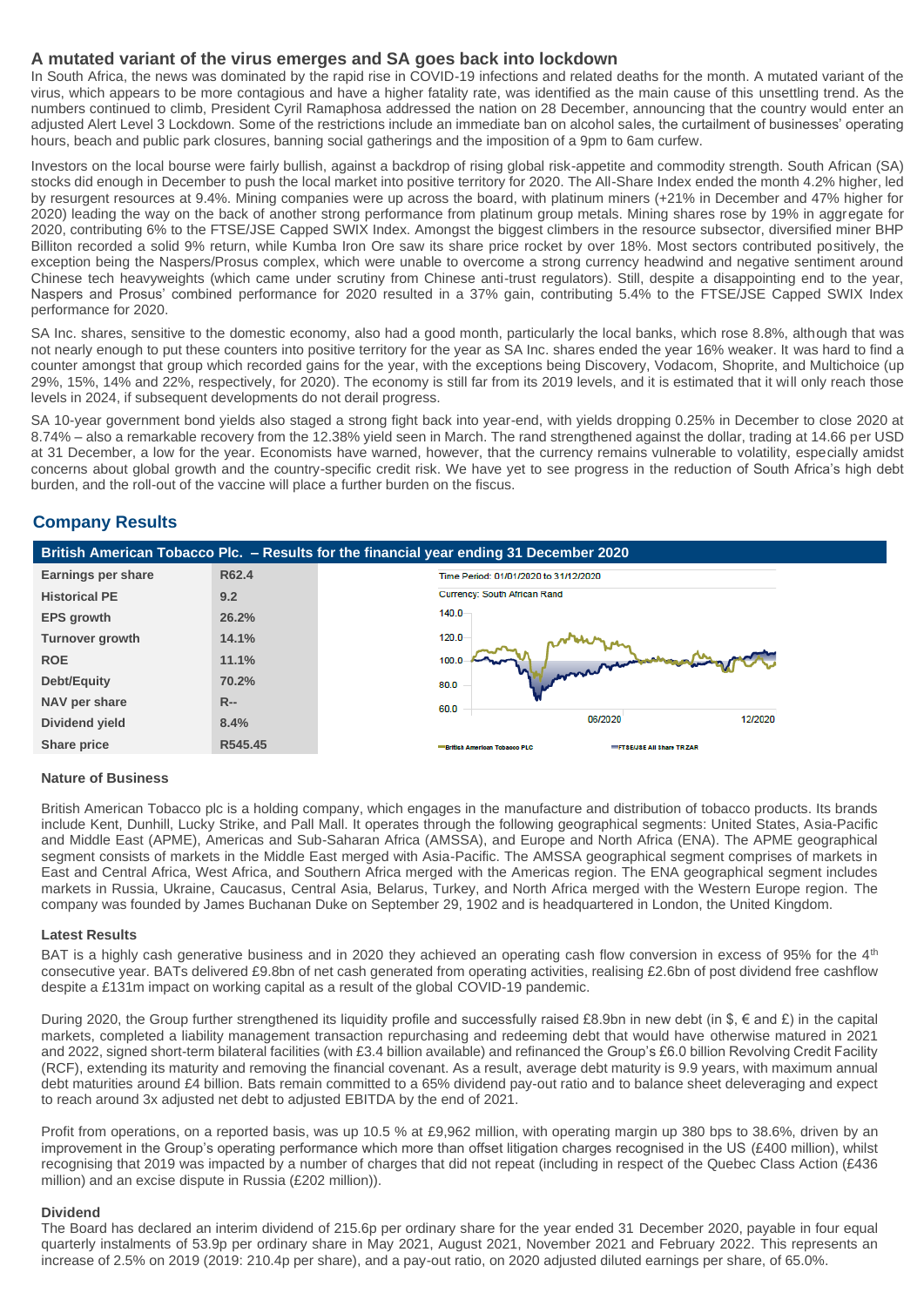# **A mutated variant of the virus emerges and SA goes back into lockdown**

In South Africa, the news was dominated by the rapid rise in COVID-19 infections and related deaths for the month. A mutated variant of the virus, which appears to be more contagious and have a higher fatality rate, was identified as the main cause of this unsettling trend. As the numbers continued to climb, President Cyril Ramaphosa addressed the nation on 28 December, announcing that the country would enter an adjusted Alert Level 3 Lockdown. Some of the restrictions include an immediate ban on alcohol sales, the curtailment of businesses' operating hours, beach and public park closures, banning social gatherings and the imposition of a 9pm to 6am curfew.

Investors on the local bourse were fairly bullish, against a backdrop of rising global risk-appetite and commodity strength. South African (SA) stocks did enough in December to push the local market into positive territory for 2020. The All-Share Index ended the month 4.2% higher, led by resurgent resources at 9.4%. Mining companies were up across the board, with platinum miners (+21% in December and 47% higher for 2020) leading the way on the back of another strong performance from platinum group metals. Mining shares rose by 19% in aggregate for 2020, contributing 6% to the FTSE/JSE Capped SWIX Index. Amongst the biggest climbers in the resource subsector, diversified miner BHP Billiton recorded a solid 9% return, while Kumba Iron Ore saw its share price rocket by over 18%. Most sectors contributed positively, the exception being the Naspers/Prosus complex, which were unable to overcome a strong currency headwind and negative sentiment around Chinese tech heavyweights (which came under scrutiny from Chinese anti-trust regulators). Still, despite a disappointing end to the year, Naspers and Prosus' combined performance for 2020 resulted in a 37% gain, contributing 5.4% to the FTSE/JSE Capped SWIX Index performance for 2020.

SA Inc. shares, sensitive to the domestic economy, also had a good month, particularly the local banks, which rose 8.8%, although that was not nearly enough to put these counters into positive territory for the year as SA Inc. shares ended the year 16% weaker. It was hard to find a counter amongst that group which recorded gains for the year, with the exceptions being Discovery, Vodacom, Shoprite, and Multichoice (up 29%, 15%, 14% and 22%, respectively, for 2020). The economy is still far from its 2019 levels, and it is estimated that it will only reach those levels in 2024, if subsequent developments do not derail progress.

SA 10-year government bond yields also staged a strong fight back into year-end, with yields dropping 0.25% in December to close 2020 at 8.74% – also a remarkable recovery from the 12.38% yield seen in March. The rand strengthened against the dollar, trading at 14.66 per USD at 31 December, a low for the year. Economists have warned, however, that the currency remains vulnerable to volatility, especially amidst concerns about global growth and the country-specific credit risk. We have yet to see progress in the reduction of South Africa's high debt burden, and the roll-out of the vaccine will place a further burden on the fiscus.

# **Company Results**



# **Nature of Business**

British American Tobacco plc is a holding company, which engages in the manufacture and distribution of tobacco products. Its brands include Kent, Dunhill, Lucky Strike, and Pall Mall. It operates through the following geographical segments: United States, Asia-Pacific and Middle East (APME), Americas and Sub-Saharan Africa (AMSSA), and Europe and North Africa (ENA). The APME geographical segment consists of markets in the Middle East merged with Asia-Pacific. The AMSSA geographical segment comprises of markets in East and Central Africa, West Africa, and Southern Africa merged with the Americas region. The ENA geographical segment includes markets in Russia, Ukraine, Caucasus, Central Asia, Belarus, Turkey, and North Africa merged with the Western Europe region. The company was founded by James Buchanan Duke on September 29, 1902 and is headquartered in London, the United Kingdom.

# **Latest Results**

BAT is a highly cash generative business and in 2020 they achieved an operating cash flow conversion in excess of 95% for the 4<sup>th</sup> consecutive year. BATs delivered £9.8bn of net cash generated from operating activities, realising £2.6bn of post dividend free cashflow despite a £131m impact on working capital as a result of the global COVID-19 pandemic.

During 2020, the Group further strengthened its liquidity profile and successfully raised £8.9bn in new debt (in \$, € and £) in the capital markets, completed a liability management transaction repurchasing and redeeming debt that would have otherwise matured in 2021 and 2022, signed short-term bilateral facilities (with £3.4 billion available) and refinanced the Group's £6.0 billion Revolving Credit Facility (RCF), extending its maturity and removing the financial covenant. As a result, average debt maturity is 9.9 years, with maximum annual debt maturities around £4 billion. Bats remain committed to a 65% dividend pay-out ratio and to balance sheet deleveraging and expect to reach around 3x adjusted net debt to adjusted EBITDA by the end of 2021.

Profit from operations, on a reported basis, was up 10.5 % at £9,962 million, with operating margin up 380 bps to 38.6%, driven by an improvement in the Group's operating performance which more than offset litigation charges recognised in the US (£400 million), whilst recognising that 2019 was impacted by a number of charges that did not repeat (including in respect of the Quebec Class Action (£436 million) and an excise dispute in Russia (£202 million)).

# **Dividend**

The Board has declared an interim dividend of 215.6p per ordinary share for the year ended 31 December 2020, payable in four equal quarterly instalments of 53.9p per ordinary share in May 2021, August 2021, November 2021 and February 2022. This represents an increase of 2.5% on 2019 (2019: 210.4p per share), and a pay-out ratio, on 2020 adjusted diluted earnings per share, of 65.0%.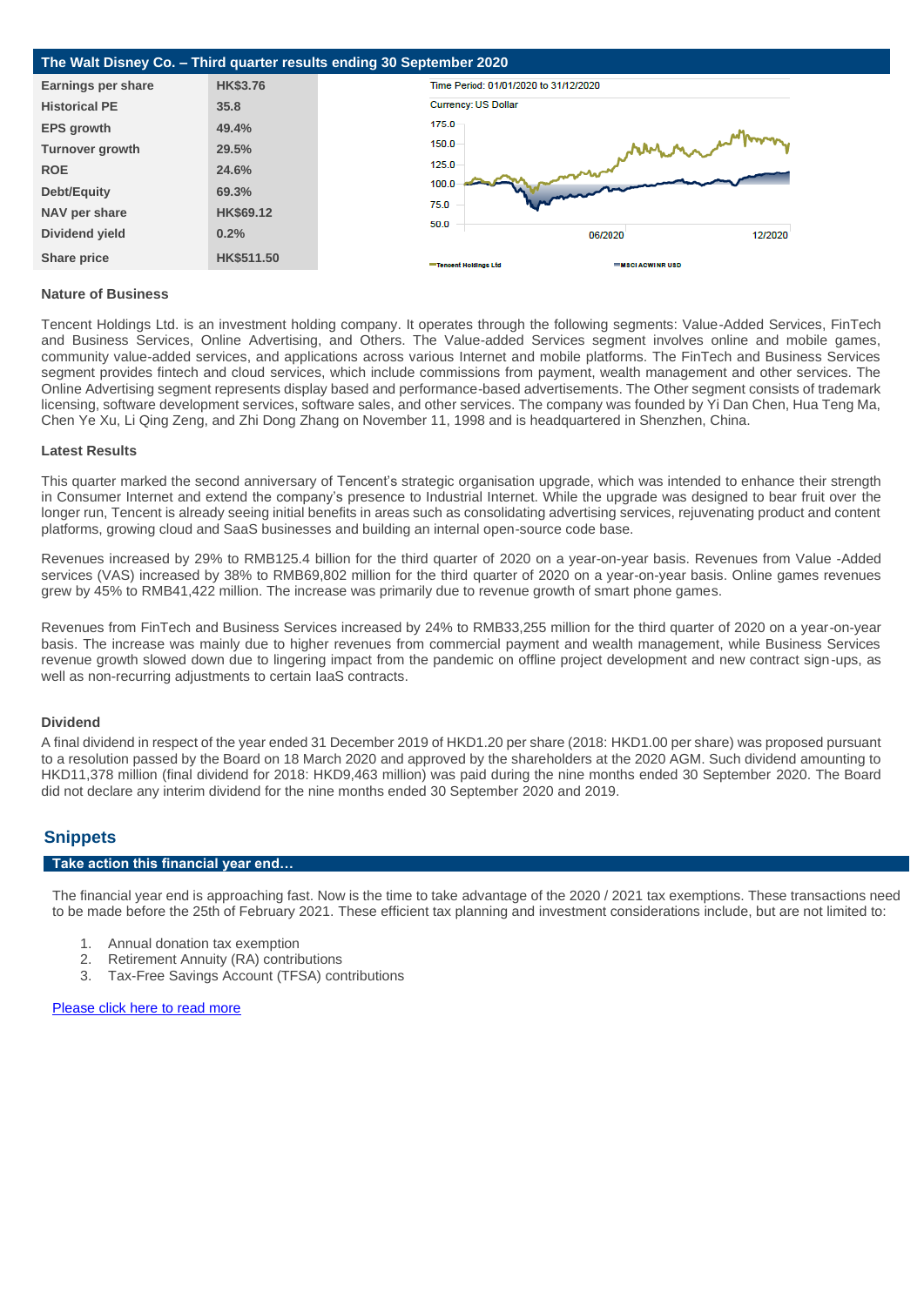

## **Nature of Business**

Tencent Holdings Ltd. is an investment holding company. It operates through the following segments: Value-Added Services, FinTech and Business Services, Online Advertising, and Others. The Value-added Services segment involves online and mobile games, community value-added services, and applications across various Internet and mobile platforms. The FinTech and Business Services segment provides fintech and cloud services, which include commissions from payment, wealth management and other services. The Online Advertising segment represents display based and performance-based advertisements. The Other segment consists of trademark licensing, software development services, software sales, and other services. The company was founded by Yi Dan Chen, Hua Teng Ma, Chen Ye Xu, Li Qing Zeng, and Zhi Dong Zhang on November 11, 1998 and is headquartered in Shenzhen, China.

#### **Latest Results**

This quarter marked the second anniversary of Tencent's strategic organisation upgrade, which was intended to enhance their strength in Consumer Internet and extend the company's presence to Industrial Internet. While the upgrade was designed to bear fruit over the longer run, Tencent is already seeing initial benefits in areas such as consolidating advertising services, rejuvenating product and content platforms, growing cloud and SaaS businesses and building an internal open-source code base.

Revenues increased by 29% to RMB125.4 billion for the third quarter of 2020 on a year-on-year basis. Revenues from Value -Added services (VAS) increased by 38% to RMB69,802 million for the third quarter of 2020 on a year-on-year basis. Online games revenues grew by 45% to RMB41,422 million. The increase was primarily due to revenue growth of smart phone games.

Revenues from FinTech and Business Services increased by 24% to RMB33,255 million for the third quarter of 2020 on a year-on-year basis. The increase was mainly due to higher revenues from commercial payment and wealth management, while Business Services revenue growth slowed down due to lingering impact from the pandemic on offline project development and new contract sign-ups, as well as non-recurring adjustments to certain IaaS contracts.

# **Dividend**

A final dividend in respect of the year ended 31 December 2019 of HKD1.20 per share (2018: HKD1.00 per share) was proposed pursuant to a resolution passed by the Board on 18 March 2020 and approved by the shareholders at the 2020 AGM. Such dividend amounting to HKD11,378 million (final dividend for 2018: HKD9,463 million) was paid during the nine months ended 30 September 2020. The Board did not declare any interim dividend for the nine months ended 30 September 2020 and 2019.

# **Snippets**

# **Take action this financial year end…**

The financial year end is approaching fast. Now is the time to take advantage of the 2020 / 2021 tax exemptions. These transactions need to be made before the 25th of February 2021. These efficient tax planning and investment considerations include, but are not limited to:

- 1. Annual donation tax exemption
- 2. Retirement Annuity (RA) contributions<br>3. Tax-Free Savings Account (TFSA) contributions
- Tax-Free Savings Account (TFSA) contributions

### [Please click here to read more](https://privateclientholdings.sharepoint.com/sites/Portfolios/Shared%20Documents/PCP/Newsletter/2021/February/PCH-TFSA%20RA%20%202021.pdf)